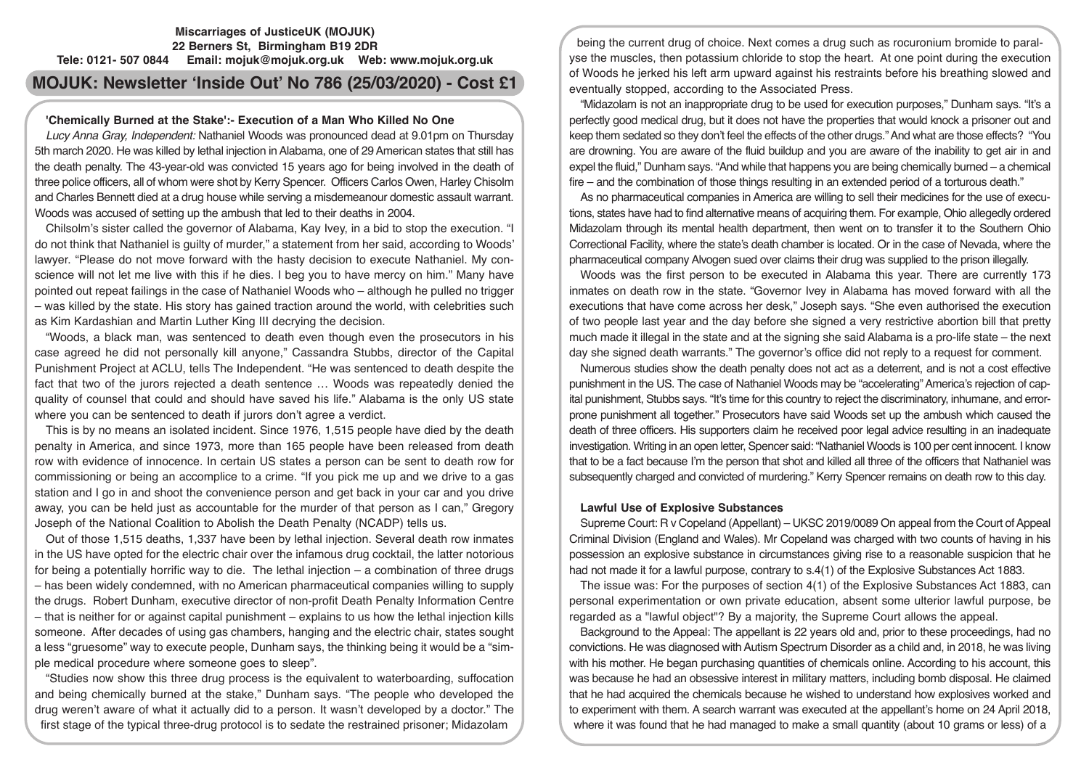## **Miscarriages of JusticeUK (MOJUK) 22 Berners St, Birmingham B19 2DR Tele: 0121- 507 0844 Email: mojuk@mojuk.org.uk Web: www.mojuk.org.uk**

# **MOJUK: Newsletter 'Inside Out' No 786 (25/03/2020) - Cost £1**

# **'Chemically Burned at the Stake':- Execution of a Man Who Killed No One**

*Lucy Anna Gray, Independent:* Nathaniel Woods was pronounced dead at 9.01pm on Thursday 5th march 2020. He was killed by lethal injection in Alabama, one of 29 American states that still has the death penalty. The 43-year-old was convicted 15 years ago for being involved in the death of three police officers, all of whom were shot by Kerry Spencer. Officers Carlos Owen, Harley Chisolm and Charles Bennett died at a drug house while serving a misdemeanour domestic assault warrant. Woods was accused of setting up the ambush that led to their deaths in 2004.

Chilsolm's sister called the governor of Alabama, Kay Ivey, in a bid to stop the execution. "I do not think that Nathaniel is guilty of murder," a statement from her said, according to Woods' lawyer. "Please do not move forward with the hasty decision to execute Nathaniel. My conscience will not let me live with this if he dies. I beg you to have mercy on him." Many have pointed out repeat failings in the case of Nathaniel Woods who – although he pulled no trigger – was killed by the state. His story has gained traction around the world, with celebrities such as Kim Kardashian and Martin Luther King III decrying the decision.

"Woods, a black man, was sentenced to death even though even the prosecutors in his case agreed he did not personally kill anyone," Cassandra Stubbs, director of the Capital Punishment Project at ACLU, tells The Independent. "He was sentenced to death despite the fact that two of the jurors rejected a death sentence … Woods was repeatedly denied the quality of counsel that could and should have saved his life." Alabama is the only US state where you can be sentenced to death if jurors don't agree a verdict.

This is by no means an isolated incident. Since 1976, 1,515 people have died by the death penalty in America, and since 1973, more than 165 people have been released from death row with evidence of innocence. In certain US states a person can be sent to death row for commissioning or being an accomplice to a crime. "If you pick me up and we drive to a gas station and I go in and shoot the convenience person and get back in your car and you drive away, you can be held just as accountable for the murder of that person as I can," Gregory Joseph of the National Coalition to Abolish the Death Penalty (NCADP) tells us.

Out of those 1,515 deaths, 1,337 have been by lethal injection. Several death row inmates in the US have opted for the electric chair over the infamous drug cocktail, the latter notorious for being a potentially horrific way to die. The lethal injection – a combination of three drugs – has been widely condemned, with no American pharmaceutical companies willing to supply the drugs. Robert Dunham, executive director of non-profit Death Penalty Information Centre – that is neither for or against capital punishment – explains to us how the lethal injection kills someone. After decades of using gas chambers, hanging and the electric chair, states sought a less "gruesome" way to execute people, Dunham says, the thinking being it would be a "simple medical procedure where someone goes to sleep".

"Studies now show this three drug process is the equivalent to waterboarding, suffocation and being chemically burned at the stake," Dunham says. "The people who developed the drug weren't aware of what it actually did to a person. It wasn't developed by a doctor." The first stage of the typical three-drug protocol is to sedate the restrained prisoner; Midazolam

being the current drug of choice. Next comes a drug such as rocuronium bromide to paralyse the muscles, then potassium chloride to stop the heart. At one point during the execution of Woods he jerked his left arm upward against his restraints before his breathing slowed and eventually stopped, according to the Associated Press.

"Midazolam is not an inappropriate drug to be used for execution purposes," Dunham says. "It's a perfectly good medical drug, but it does not have the properties that would knock a prisoner out and keep them sedated so they don't feel the effects of the other drugs." And what are those effects? "You are drowning. You are aware of the fluid buildup and you are aware of the inability to get air in and expel the fluid," Dunham says. "And while that happens you are being chemically burned – a chemical fire – and the combination of those things resulting in an extended period of a torturous death."

As no pharmaceutical companies in America are willing to sell their medicines for the use of executions, states have had to find alternative means of acquiring them. For example, Ohio allegedly ordered Midazolam through its mental health department, then went on to transfer it to the Southern Ohio Correctional Facility, where the state's death chamber is located. Or in the case of Nevada, where the pharmaceutical company Alvogen sued over claims their drug was supplied to the prison illegally.

Woods was the first person to be executed in Alabama this year. There are currently 173 inmates on death row in the state. "Governor Ivey in Alabama has moved forward with all the executions that have come across her desk," Joseph says. "She even authorised the execution of two people last year and the day before she signed a very restrictive abortion bill that pretty much made it illegal in the state and at the signing she said Alabama is a pro-life state – the next day she signed death warrants." The governor's office did not reply to a request for comment.

Numerous studies show the death penalty does not act as a deterrent, and is not a cost effective punishment in the US. The case of Nathaniel Woods may be "accelerating" America's rejection of capital punishment, Stubbs says. "It's time for this country to reject the discriminatory, inhumane, and errorprone punishment all together." Prosecutors have said Woods set up the ambush which caused the death of three officers. His supporters claim he received poor legal advice resulting in an inadequate investigation. Writing in an open letter, Spencer said: "Nathaniel Woods is 100 per cent innocent. I know that to be a fact because I'm the person that shot and killed all three of the officers that Nathaniel was subsequently charged and convicted of murdering." Kerry Spencer remains on death row to this day.

## **Lawful Use of Explosive Substances**

Supreme Court: R v Copeland (Appellant) – UKSC 2019/0089 On appeal from the Court of Appeal Criminal Division (England and Wales). Mr Copeland was charged with two counts of having in his possession an explosive substance in circumstances giving rise to a reasonable suspicion that he had not made it for a lawful purpose, contrary to s.4(1) of the Explosive Substances Act 1883.

The issue was: For the purposes of section 4(1) of the Explosive Substances Act 1883, can personal experimentation or own private education, absent some ulterior lawful purpose, be regarded as a "lawful object"? By a majority, the Supreme Court allows the appeal.

Background to the Appeal: The appellant is 22 years old and, prior to these proceedings, had no convictions. He was diagnosed with Autism Spectrum Disorder as a child and, in 2018, he was living with his mother. He began purchasing quantities of chemicals online. According to his account, this was because he had an obsessive interest in military matters, including bomb disposal. He claimed that he had acquired the chemicals because he wished to understand how explosives worked and to experiment with them. A search warrant was executed at the appellant's home on 24 April 2018, where it was found that he had managed to make a small quantity (about 10 grams or less) of a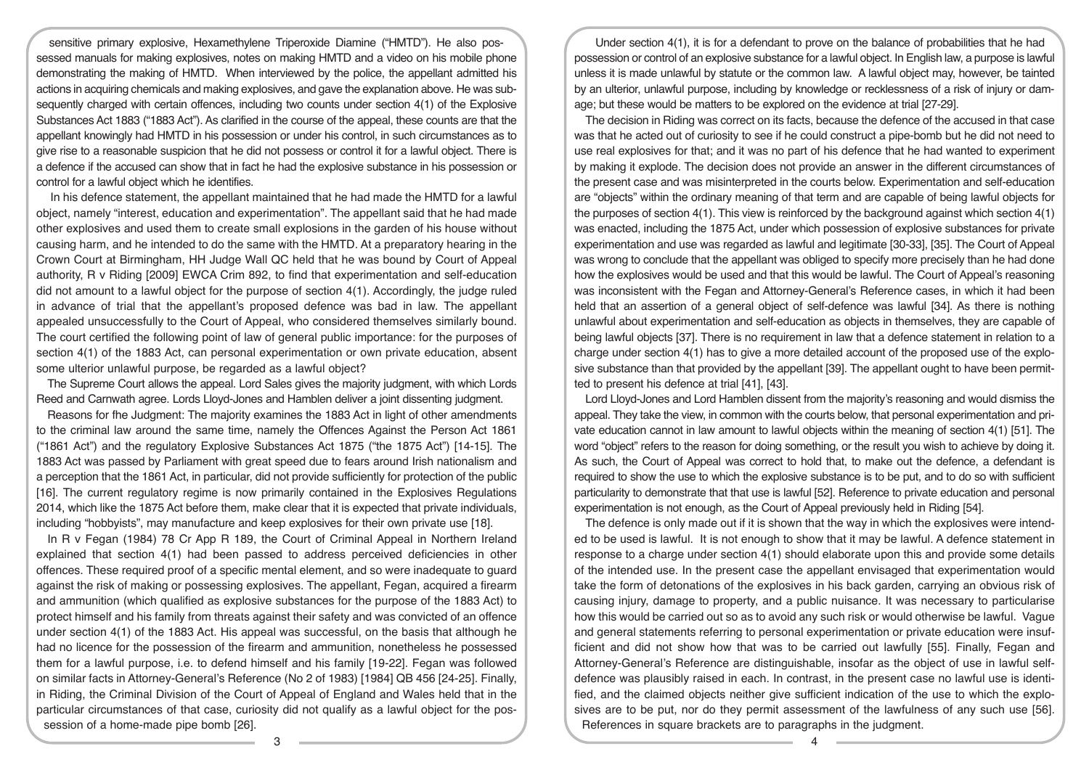sensitive primary explosive, Hexamethylene Triperoxide Diamine ("HMTD"). He also possessed manuals for making explosives, notes on making HMTD and a video on his mobile phone demonstrating the making of HMTD. When interviewed by the police, the appellant admitted his actions in acquiring chemicals and making explosives, and gave the explanation above. He was subsequently charged with certain offences, including two counts under section 4(1) of the Explosive Substances Act 1883 ("1883 Act"). As clarified in the course of the appeal, these counts are that the appellant knowingly had HMTD in his possession or under his control, in such circumstances as to give rise to a reasonable suspicion that he did not possess or control it for a lawful object. There is a defence if the accused can show that in fact he had the explosive substance in his possession or control for a lawful object which he identifies.

 In his defence statement, the appellant maintained that he had made the HMTD for a lawful object, namely "interest, education and experimentation". The appellant said that he had made other explosives and used them to create small explosions in the garden of his house without causing harm, and he intended to do the same with the HMTD. At a preparatory hearing in the Crown Court at Birmingham, HH Judge Wall QC held that he was bound by Court of Appeal authority, R v Riding [2009] EWCA Crim 892, to find that experimentation and self-education did not amount to a lawful object for the purpose of section 4(1). Accordingly, the judge ruled in advance of trial that the appellant's proposed defence was bad in law. The appellant appealed unsuccessfully to the Court of Appeal, who considered themselves similarly bound. The court certified the following point of law of general public importance: for the purposes of section 4(1) of the 1883 Act, can personal experimentation or own private education, absent some ulterior unlawful purpose, be regarded as a lawful object?

The Supreme Court allows the appeal. Lord Sales gives the majority judgment, with which Lords Reed and Carnwath agree. Lords Lloyd-Jones and Hamblen deliver a joint dissenting judgment.

Reasons for fhe Judgment: The majority examines the 1883 Act in light of other amendments to the criminal law around the same time, namely the Offences Against the Person Act 1861 ("1861 Act") and the regulatory Explosive Substances Act 1875 ("the 1875 Act") [14-15]. The 1883 Act was passed by Parliament with great speed due to fears around Irish nationalism and a perception that the 1861 Act, in particular, did not provide sufficiently for protection of the public [16]. The current regulatory regime is now primarily contained in the Explosives Regulations 2014, which like the 1875 Act before them, make clear that it is expected that private individuals, including "hobbyists", may manufacture and keep explosives for their own private use [18].

In R v Fegan (1984) 78 Cr App R 189, the Court of Criminal Appeal in Northern Ireland explained that section 4(1) had been passed to address perceived deficiencies in other offences. These required proof of a specific mental element, and so were inadequate to guard against the risk of making or possessing explosives. The appellant, Fegan, acquired a firearm and ammunition (which qualified as explosive substances for the purpose of the 1883 Act) to protect himself and his family from threats against their safety and was convicted of an offence under section 4(1) of the 1883 Act. His appeal was successful, on the basis that although he had no licence for the possession of the firearm and ammunition, nonetheless he possessed them for a lawful purpose, i.e. to defend himself and his family [19-22]. Fegan was followed on similar facts in Attorney-General's Reference (No 2 of 1983) [1984] QB 456 [24-25]. Finally, in Riding, the Criminal Division of the Court of Appeal of England and Wales held that in the particular circumstances of that case, curiosity did not qualify as a lawful object for the possession of a home-made pipe bomb [26].

Under section 4(1), it is for a defendant to prove on the balance of probabilities that he had possession or control of an explosive substance for a lawful object. In English law, a purpose is lawful unless it is made unlawful by statute or the common law. A lawful object may, however, be tainted by an ulterior, unlawful purpose, including by knowledge or recklessness of a risk of injury or damage; but these would be matters to be explored on the evidence at trial [27-29].

The decision in Riding was correct on its facts, because the defence of the accused in that case was that he acted out of curiosity to see if he could construct a pipe-bomb but he did not need to use real explosives for that; and it was no part of his defence that he had wanted to experiment by making it explode. The decision does not provide an answer in the different circumstances of the present case and was misinterpreted in the courts below. Experimentation and self-education are "objects" within the ordinary meaning of that term and are capable of being lawful objects for the purposes of section 4(1). This view is reinforced by the background against which section 4(1) was enacted, including the 1875 Act, under which possession of explosive substances for private experimentation and use was regarded as lawful and legitimate [30-33], [35]. The Court of Appeal was wrong to conclude that the appellant was obliged to specify more precisely than he had done how the explosives would be used and that this would be lawful. The Court of Appeal's reasoning was inconsistent with the Fegan and Attorney-General's Reference cases, in which it had been held that an assertion of a general object of self-defence was lawful [34]. As there is nothing unlawful about experimentation and self-education as objects in themselves, they are capable of being lawful objects [37]. There is no requirement in law that a defence statement in relation to a charge under section 4(1) has to give a more detailed account of the proposed use of the explosive substance than that provided by the appellant [39]. The appellant ought to have been permitted to present his defence at trial [41], [43].

Lord Lloyd-Jones and Lord Hamblen dissent from the majority's reasoning and would dismiss the appeal. They take the view, in common with the courts below, that personal experimentation and private education cannot in law amount to lawful objects within the meaning of section 4(1) [51]. The word "object" refers to the reason for doing something, or the result you wish to achieve by doing it. As such, the Court of Appeal was correct to hold that, to make out the defence, a defendant is required to show the use to which the explosive substance is to be put, and to do so with sufficient particularity to demonstrate that that use is lawful [52]. Reference to private education and personal experimentation is not enough, as the Court of Appeal previously held in Riding [54].

The defence is only made out if it is shown that the way in which the explosives were intended to be used is lawful. It is not enough to show that it may be lawful. A defence statement in response to a charge under section 4(1) should elaborate upon this and provide some details of the intended use. In the present case the appellant envisaged that experimentation would take the form of detonations of the explosives in his back garden, carrying an obvious risk of causing injury, damage to property, and a public nuisance. It was necessary to particularise how this would be carried out so as to avoid any such risk or would otherwise be lawful. Vague and general statements referring to personal experimentation or private education were insufficient and did not show how that was to be carried out lawfully [55]. Finally, Fegan and Attorney-General's Reference are distinguishable, insofar as the object of use in lawful selfdefence was plausibly raised in each. In contrast, in the present case no lawful use is identified, and the claimed objects neither give sufficient indication of the use to which the explosives are to be put, nor do they permit assessment of the lawfulness of any such use [56]. References in square brackets are to paragraphs in the judgment.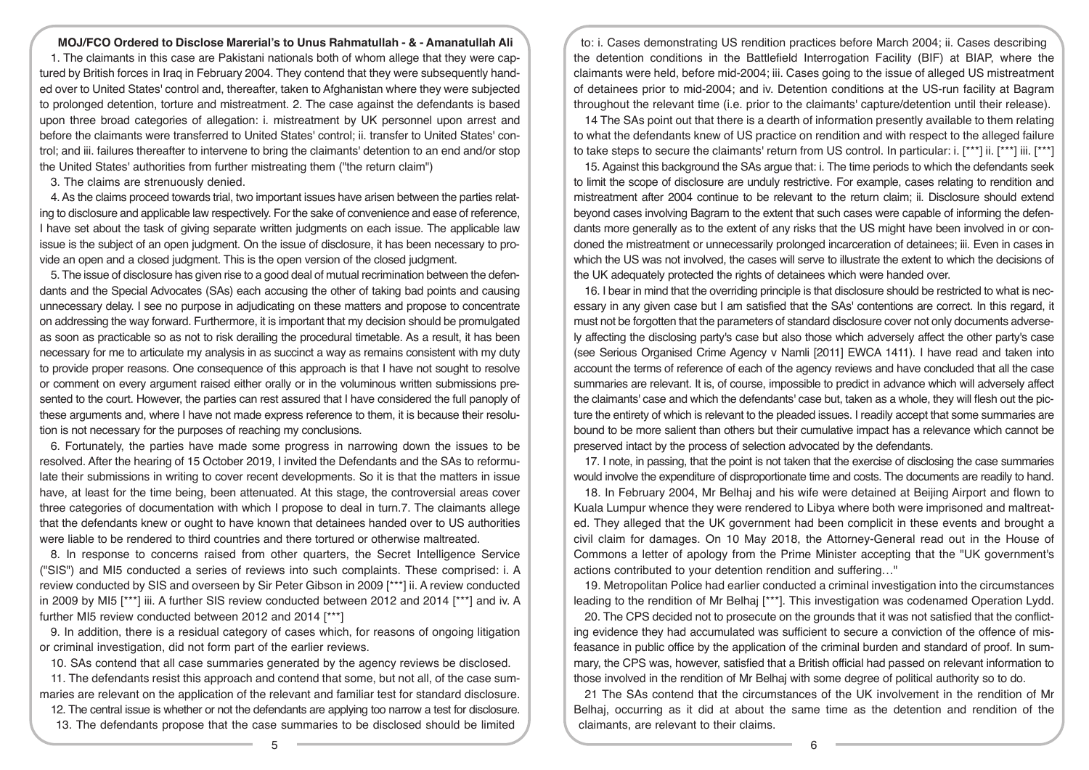## **MOJ/FCO Ordered to Disclose Marerial's to Unus Rahmatullah - & - Amanatullah Ali**

1. The claimants in this case are Pakistani nationals both of whom allege that they were captured by British forces in Iraq in February 2004. They contend that they were subsequently handed over to United States' control and, thereafter, taken to Afghanistan where they were subjected to prolonged detention, torture and mistreatment. 2. The case against the defendants is based upon three broad categories of allegation: i. mistreatment by UK personnel upon arrest and before the claimants were transferred to United States' control; ii. transfer to United States' control; and iii. failures thereafter to intervene to bring the claimants' detention to an end and/or stop the United States' authorities from further mistreating them ("the return claim")

3. The claims are strenuously denied.

4. As the claims proceed towards trial, two important issues have arisen between the parties relating to disclosure and applicable law respectively. For the sake of convenience and ease of reference, I have set about the task of giving separate written judgments on each issue. The applicable law issue is the subject of an open judgment. On the issue of disclosure, it has been necessary to provide an open and a closed judgment. This is the open version of the closed judgment.

5. The issue of disclosure has given rise to a good deal of mutual recrimination between the defendants and the Special Advocates (SAs) each accusing the other of taking bad points and causing unnecessary delay. I see no purpose in adjudicating on these matters and propose to concentrate on addressing the way forward. Furthermore, it is important that my decision should be promulgated as soon as practicable so as not to risk derailing the procedural timetable. As a result, it has been necessary for me to articulate my analysis in as succinct a way as remains consistent with my duty to provide proper reasons. One consequence of this approach is that I have not sought to resolve or comment on every argument raised either orally or in the voluminous written submissions presented to the court. However, the parties can rest assured that I have considered the full panoply of these arguments and, where I have not made express reference to them, it is because their resolution is not necessary for the purposes of reaching my conclusions.

6. Fortunately, the parties have made some progress in narrowing down the issues to be resolved. After the hearing of 15 October 2019, I invited the Defendants and the SAs to reformulate their submissions in writing to cover recent developments. So it is that the matters in issue have, at least for the time being, been attenuated. At this stage, the controversial areas cover three categories of documentation with which I propose to deal in turn.7. The claimants allege that the defendants knew or ought to have known that detainees handed over to US authorities were liable to be rendered to third countries and there tortured or otherwise maltreated.

8. In response to concerns raised from other quarters, the Secret Intelligence Service ("SIS") and MI5 conducted a series of reviews into such complaints. These comprised: i. A review conducted by SIS and overseen by Sir Peter Gibson in 2009 [\*\*\*] ii. A review conducted in 2009 by MI5 [\*\*\*] iii. A further SIS review conducted between 2012 and 2014 [\*\*\*] and iv. A further MI5 review conducted between 2012 and 2014 [\*\*\*]

9. In addition, there is a residual category of cases which, for reasons of ongoing litigation or criminal investigation, did not form part of the earlier reviews.

10. SAs contend that all case summaries generated by the agency reviews be disclosed.

11. The defendants resist this approach and contend that some, but not all, of the case summaries are relevant on the application of the relevant and familiar test for standard disclosure.

12. The central issue is whether or not the defendants are applying too narrow a test for disclosure. 13. The defendants propose that the case summaries to be disclosed should be limited

to: i. Cases demonstrating US rendition practices before March 2004; ii. Cases describing the detention conditions in the Battlefield Interrogation Facility (BIF) at BIAP, where the claimants were held, before mid-2004; iii. Cases going to the issue of alleged US mistreatment of detainees prior to mid-2004; and iv. Detention conditions at the US-run facility at Bagram throughout the relevant time (i.e. prior to the claimants' capture/detention until their release).

14 The SAs point out that there is a dearth of information presently available to them relating to what the defendants knew of US practice on rendition and with respect to the alleged failure to take steps to secure the claimants' return from US control. In particular: i. [\*\*\*] ii. [\*\*\*] iii. [\*\*\*]

15. Against this background the SAs argue that: i. The time periods to which the defendants seek to limit the scope of disclosure are unduly restrictive. For example, cases relating to rendition and mistreatment after 2004 continue to be relevant to the return claim; ii. Disclosure should extend beyond cases involving Bagram to the extent that such cases were capable of informing the defendants more generally as to the extent of any risks that the US might have been involved in or condoned the mistreatment or unnecessarily prolonged incarceration of detainees; iii. Even in cases in which the US was not involved, the cases will serve to illustrate the extent to which the decisions of the UK adequately protected the rights of detainees which were handed over.

16. I bear in mind that the overriding principle is that disclosure should be restricted to what is necessary in any given case but I am satisfied that the SAs' contentions are correct. In this regard, it must not be forgotten that the parameters of standard disclosure cover not only documents adversely affecting the disclosing party's case but also those which adversely affect the other party's case (see Serious Organised Crime Agency v Namli [2011] EWCA 1411). I have read and taken into account the terms of reference of each of the agency reviews and have concluded that all the case summaries are relevant. It is, of course, impossible to predict in advance which will adversely affect the claimants' case and which the defendants' case but, taken as a whole, they will flesh out the picture the entirety of which is relevant to the pleaded issues. I readily accept that some summaries are bound to be more salient than others but their cumulative impact has a relevance which cannot be preserved intact by the process of selection advocated by the defendants.

17. I note, in passing, that the point is not taken that the exercise of disclosing the case summaries would involve the expenditure of disproportionate time and costs. The documents are readily to hand.

18. In February 2004, Mr Belhaj and his wife were detained at Beijing Airport and flown to Kuala Lumpur whence they were rendered to Libya where both were imprisoned and maltreated. They alleged that the UK government had been complicit in these events and brought a civil claim for damages. On 10 May 2018, the Attorney-General read out in the House of Commons a letter of apology from the Prime Minister accepting that the "UK government's actions contributed to your detention rendition and suffering…"

19. Metropolitan Police had earlier conducted a criminal investigation into the circumstances leading to the rendition of Mr Belhaj [\*\*\*]. This investigation was codenamed Operation Lydd.

20. The CPS decided not to prosecute on the grounds that it was not satisfied that the conflicting evidence they had accumulated was sufficient to secure a conviction of the offence of misfeasance in public office by the application of the criminal burden and standard of proof. In summary, the CPS was, however, satisfied that a British official had passed on relevant information to those involved in the rendition of Mr Belhaj with some degree of political authority so to do.

21 The SAs contend that the circumstances of the UK involvement in the rendition of Mr Belhaj, occurring as it did at about the same time as the detention and rendition of the claimants, are relevant to their claims.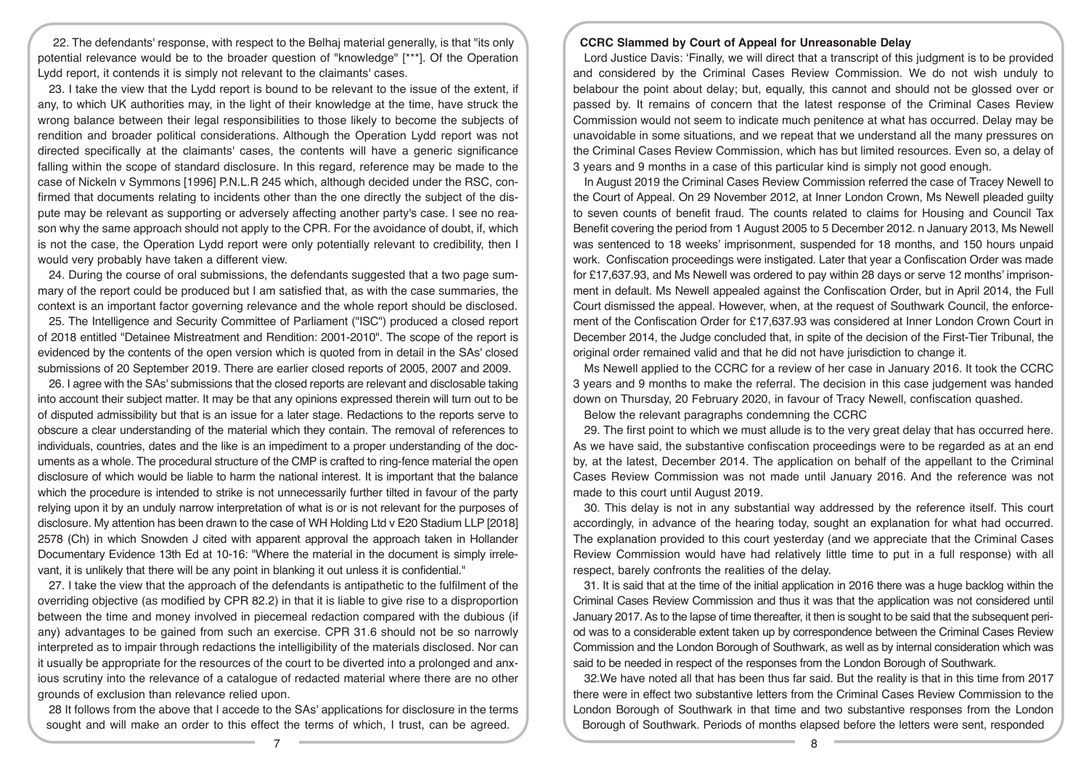22. The defendants' response, with respect to the Belhaj material generally, is that "its only potential relevance would be to the broader question of "knowledge" [\*\*\*]. Of the Operation Lydd report, it contends it is simply not relevant to the claimants' cases.

23. I take the view that the Lydd report is bound to be relevant to the issue of the extent, if any, to which UK authorities may, in the light of their knowledge at the time, have struck the wrong balance between their legal responsibilities to those likely to become the subjects of rendition and broader political considerations. Although the Operation Lydd report was not directed specifically at the claimants' cases, the contents will have a generic significance falling within the scope of standard disclosure. In this regard, reference may be made to the case of Nickeln v Symmons [1996] P.N.L.R 245 which, although decided under the RSC, confirmed that documents relating to incidents other than the one directly the subject of the dispute may be relevant as supporting or adversely affecting another party's case. I see no reason why the same approach should not apply to the CPR. For the avoidance of doubt, if, which is not the case, the Operation Lydd report were only potentially relevant to credibility, then I would very probably have taken a different view.

24. During the course of oral submissions, the defendants suggested that a two page summary of the report could be produced but I am satisfied that, as with the case summaries, the context is an important factor governing relevance and the whole report should be disclosed.

25. The Intelligence and Security Committee of Parliament ("ISC") produced a closed report of 2018 entitled "Detainee Mistreatment and Rendition: 2001-2010". The scope of the report is evidenced by the contents of the open version which is quoted from in detail in the SAs' closed submissions of 20 September 2019. There are earlier closed reports of 2005, 2007 and 2009.

26. I agree with the SAs' submissions that the closed reports are relevant and disclosable taking into account their subject matter. It may be that any opinions expressed therein will turn out to be of disputed admissibility but that is an issue for a later stage. Redactions to the reports serve to obscure a clear understanding of the material which they contain. The removal of references to individuals, countries, dates and the like is an impediment to a proper understanding of the documents as a whole. The procedural structure of the CMP is crafted to ring-fence material the open disclosure of which would be liable to harm the national interest. It is important that the balance which the procedure is intended to strike is not unnecessarily further tilted in favour of the party relying upon it by an unduly narrow interpretation of what is or is not relevant for the purposes of disclosure. My attention has been drawn to the case of WH Holding Ltd v E20 Stadium LLP [2018] 2578 (Ch) in which Snowden J cited with apparent approval the approach taken in Hollander Documentary Evidence 13th Ed at 10-16: "Where the material in the document is simply irrelevant, it is unlikely that there will be any point in blanking it out unless it is confidential."

27. I take the view that the approach of the defendants is antipathetic to the fulfilment of the overriding objective (as modified by CPR 82.2) in that it is liable to give rise to a disproportion between the time and money involved in piecemeal redaction compared with the dubious (if any) advantages to be gained from such an exercise. CPR 31.6 should not be so narrowly interpreted as to impair through redactions the intelligibility of the materials disclosed. Nor can it usually be appropriate for the resources of the court to be diverted into a prolonged and anxious scrutiny into the relevance of a catalogue of redacted material where there are no other grounds of exclusion than relevance relied upon.

28 It follows from the above that I accede to the SAs' applications for disclosure in the terms sought and will make an order to this effect the terms of which, I trust, can be agreed.

## **CCRC Slammed by Court of Appeal for Unreasonable Delay**

Lord Justice Davis: 'Finally, we will direct that a transcript of this judgment is to be provided and considered by the Criminal Cases Review Commission. We do not wish unduly to belabour the point about delay; but, equally, this cannot and should not be glossed over or passed by. It remains of concern that the latest response of the Criminal Cases Review Commission would not seem to indicate much penitence at what has occurred. Delay may be unavoidable in some situations, and we repeat that we understand all the many pressures on the Criminal Cases Review Commission, which has but limited resources. Even so, a delay of 3 years and 9 months in a case of this particular kind is simply not good enough.

In August 2019 the Criminal Cases Review Commission referred the case of Tracey Newell to the Court of Appeal. On 29 November 2012, at Inner London Crown, Ms Newell pleaded guilty to seven counts of benefit fraud. The counts related to claims for Housing and Council Tax Benefit covering the period from 1 August 2005 to 5 December 2012. n January 2013, Ms Newell was sentenced to 18 weeks' imprisonment, suspended for 18 months, and 150 hours unpaid work. Confiscation proceedings were instigated. Later that year a Confiscation Order was made for £17,637.93, and Ms Newell was ordered to pay within 28 days or serve 12 months' imprisonment in default. Ms Newell appealed against the Confiscation Order, but in April 2014, the Full Court dismissed the appeal. However, when, at the request of Southwark Council, the enforcement of the Confiscation Order for £17,637.93 was considered at Inner London Crown Court in December 2014, the Judge concluded that, in spite of the decision of the First-Tier Tribunal, the original order remained valid and that he did not have jurisdiction to change it.

Ms Newell applied to the CCRC for a review of her case in January 2016. It took the CCRC 3 years and 9 months to make the referral. The decision in this case judgement was handed down on Thursday, 20 February 2020, in favour of Tracy Newell, confiscation quashed.

Below the relevant paragraphs condemning the CCRC

29. The first point to which we must allude is to the very great delay that has occurred here. As we have said, the substantive confiscation proceedings were to be regarded as at an end by, at the latest, December 2014. The application on behalf of the appellant to the Criminal Cases Review Commission was not made until January 2016. And the reference was not made to this court until August 2019.

30. This delay is not in any substantial way addressed by the reference itself. This court accordingly, in advance of the hearing today, sought an explanation for what had occurred. The explanation provided to this court yesterday (and we appreciate that the Criminal Cases Review Commission would have had relatively little time to put in a full response) with all respect, barely confronts the realities of the delay.

31. It is said that at the time of the initial application in 2016 there was a huge backlog within the Criminal Cases Review Commission and thus it was that the application was not considered until January 2017. As to the lapse of time thereafter, it then is sought to be said that the subsequent period was to a considerable extent taken up by correspondence between the Criminal Cases Review Commission and the London Borough of Southwark, as well as by internal consideration which was said to be needed in respect of the responses from the London Borough of Southwark.

32.We have noted all that has been thus far said. But the reality is that in this time from 2017 there were in effect two substantive letters from the Criminal Cases Review Commission to the London Borough of Southwark in that time and two substantive responses from the London Borough of Southwark. Periods of months elapsed before the letters were sent, responded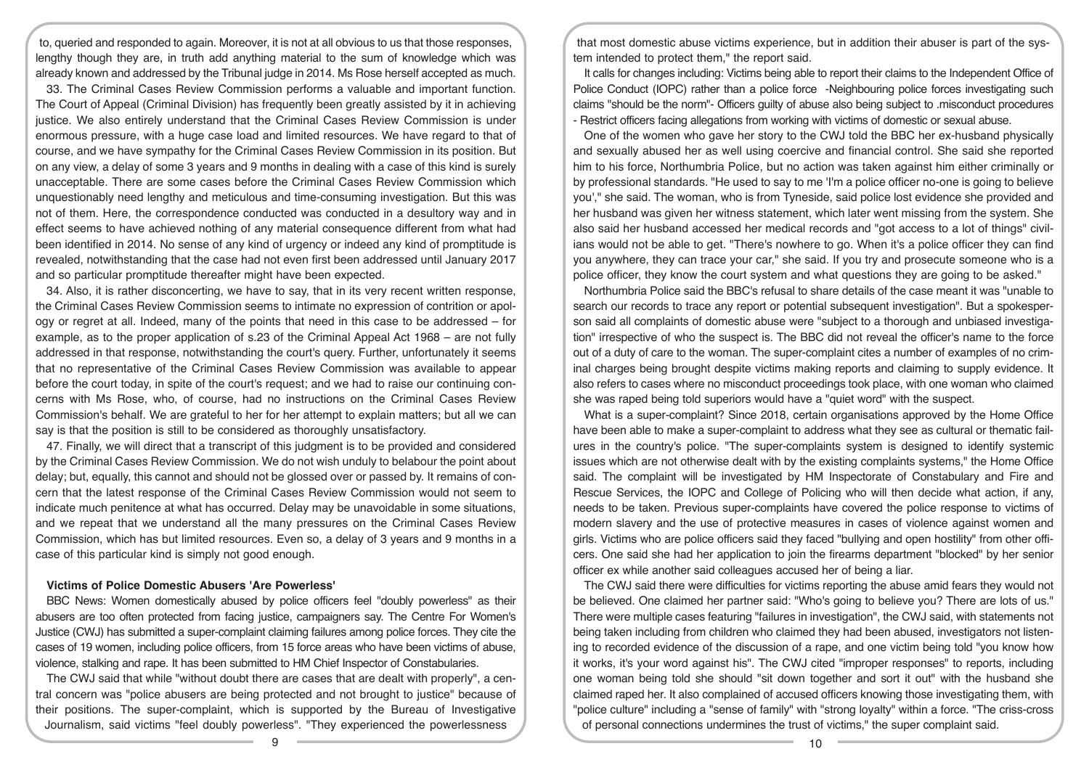to, queried and responded to again. Moreover, it is not at all obvious to us that those responses, lengthy though they are, in truth add anything material to the sum of knowledge which was already known and addressed by the Tribunal judge in 2014. Ms Rose herself accepted as much.

33. The Criminal Cases Review Commission performs a valuable and important function. The Court of Appeal (Criminal Division) has frequently been greatly assisted by it in achieving justice. We also entirely understand that the Criminal Cases Review Commission is under enormous pressure, with a huge case load and limited resources. We have regard to that of course, and we have sympathy for the Criminal Cases Review Commission in its position. But on any view, a delay of some 3 years and 9 months in dealing with a case of this kind is surely unacceptable. There are some cases before the Criminal Cases Review Commission which unquestionably need lengthy and meticulous and time-consuming investigation. But this was not of them. Here, the correspondence conducted was conducted in a desultory way and in effect seems to have achieved nothing of any material consequence different from what had been identified in 2014. No sense of any kind of urgency or indeed any kind of promptitude is revealed, notwithstanding that the case had not even first been addressed until January 2017 and so particular promptitude thereafter might have been expected.

34. Also, it is rather disconcerting, we have to say, that in its very recent written response, the Criminal Cases Review Commission seems to intimate no expression of contrition or apology or regret at all. Indeed, many of the points that need in this case to be addressed – for example, as to the proper application of s.23 of the Criminal Appeal Act 1968 – are not fully addressed in that response, notwithstanding the court's query. Further, unfortunately it seems that no representative of the Criminal Cases Review Commission was available to appear before the court today, in spite of the court's request; and we had to raise our continuing concerns with Ms Rose, who, of course, had no instructions on the Criminal Cases Review Commission's behalf. We are grateful to her for her attempt to explain matters; but all we can say is that the position is still to be considered as thoroughly unsatisfactory.

47. Finally, we will direct that a transcript of this judgment is to be provided and considered by the Criminal Cases Review Commission. We do not wish unduly to belabour the point about delay; but, equally, this cannot and should not be glossed over or passed by. It remains of concern that the latest response of the Criminal Cases Review Commission would not seem to indicate much penitence at what has occurred. Delay may be unavoidable in some situations, and we repeat that we understand all the many pressures on the Criminal Cases Review Commission, which has but limited resources. Even so, a delay of 3 years and 9 months in a case of this particular kind is simply not good enough.

## **Victims of Police Domestic Abusers 'Are Powerless'**

BBC News: Women domestically abused by police officers feel "doubly powerless" as their abusers are too often protected from facing justice, campaigners say. The Centre For Women's Justice (CWJ) has submitted a super-complaint claiming failures among police forces. They cite the cases of 19 women, including police officers, from 15 force areas who have been victims of abuse, violence, stalking and rape. It has been submitted to HM Chief Inspector of Constabularies.

The CWJ said that while "without doubt there are cases that are dealt with properly", a central concern was "police abusers are being protected and not brought to justice" because of their positions. The super-complaint, which is supported by the Bureau of Investigative Journalism, said victims "feel doubly powerless". "They experienced the powerlessness

that most domestic abuse victims experience, but in addition their abuser is part of the system intended to protect them," the report said.

It calls for changes including: Victims being able to report their claims to the Independent Office of Police Conduct (IOPC) rather than a police force -Neighbouring police forces investigating such claims "should be the norm"- Officers guilty of abuse also being subject to .misconduct procedures - Restrict officers facing allegations from working with victims of domestic or sexual abuse.

One of the women who gave her story to the CWJ told the BBC her ex-husband physically and sexually abused her as well using coercive and financial control. She said she reported him to his force, Northumbria Police, but no action was taken against him either criminally or by professional standards. "He used to say to me 'I'm a police officer no-one is going to believe you'," she said. The woman, who is from Tyneside, said police lost evidence she provided and her husband was given her witness statement, which later went missing from the system. She also said her husband accessed her medical records and "got access to a lot of things" civilians would not be able to get. "There's nowhere to go. When it's a police officer they can find you anywhere, they can trace your car," she said. If you try and prosecute someone who is a police officer, they know the court system and what questions they are going to be asked."

Northumbria Police said the BBC's refusal to share details of the case meant it was "unable to search our records to trace any report or potential subsequent investigation". But a spokesperson said all complaints of domestic abuse were "subject to a thorough and unbiased investigation" irrespective of who the suspect is. The BBC did not reveal the officer's name to the force out of a duty of care to the woman. The super-complaint cites a number of examples of no criminal charges being brought despite victims making reports and claiming to supply evidence. It also refers to cases where no misconduct proceedings took place, with one woman who claimed she was raped being told superiors would have a "quiet word" with the suspect.

What is a super-complaint? Since 2018, certain organisations approved by the Home Office have been able to make a super-complaint to address what they see as cultural or thematic failures in the country's police. "The super-complaints system is designed to identify systemic issues which are not otherwise dealt with by the existing complaints systems," the Home Office said. The complaint will be investigated by HM Inspectorate of Constabulary and Fire and Rescue Services, the IOPC and College of Policing who will then decide what action, if any, needs to be taken. Previous super-complaints have covered the police response to victims of modern slavery and the use of protective measures in cases of violence against women and girls. Victims who are police officers said they faced "bullying and open hostility" from other officers. One said she had her application to join the firearms department "blocked" by her senior officer ex while another said colleagues accused her of being a liar.

The CWJ said there were difficulties for victims reporting the abuse amid fears they would not be believed. One claimed her partner said: "Who's going to believe you? There are lots of us." There were multiple cases featuring "failures in investigation", the CWJ said, with statements not being taken including from children who claimed they had been abused, investigators not listening to recorded evidence of the discussion of a rape, and one victim being told "you know how it works, it's your word against his". The CWJ cited "improper responses" to reports, including one woman being told she should "sit down together and sort it out" with the husband she claimed raped her. It also complained of accused officers knowing those investigating them, with "police culture" including a "sense of family" with "strong loyalty" within a force. "The criss-cross of personal connections undermines the trust of victims," the super complaint said.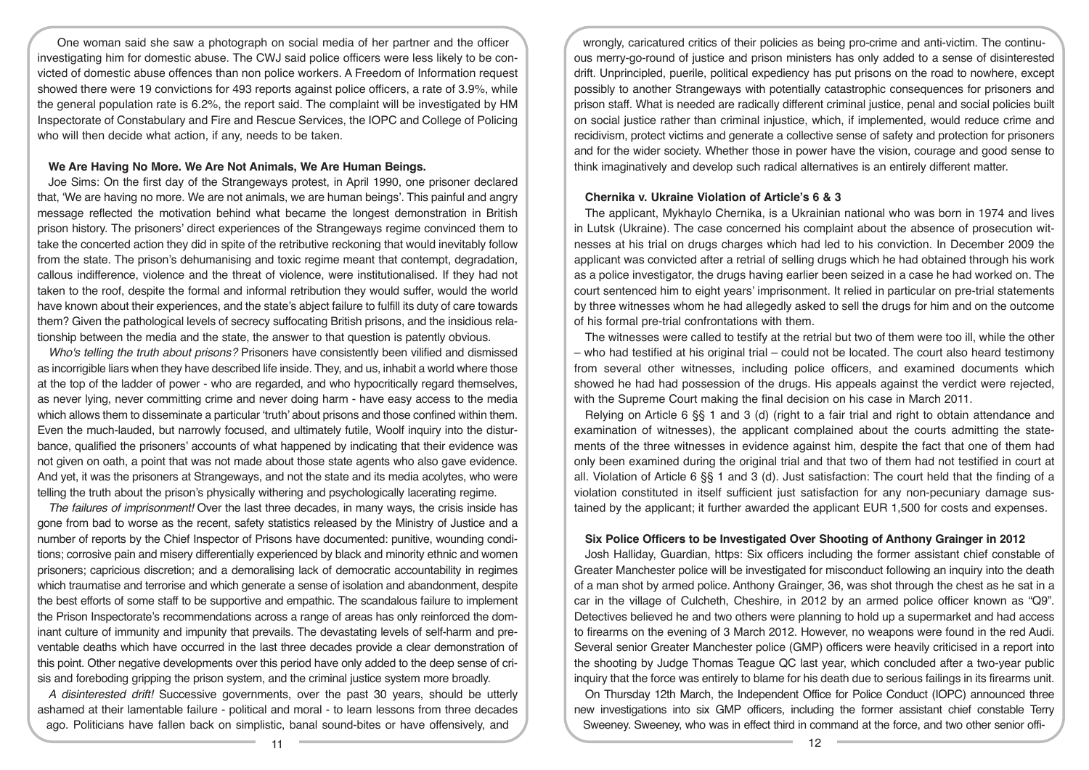One woman said she saw a photograph on social media of her partner and the officer investigating him for domestic abuse. The CWJ said police officers were less likely to be convicted of domestic abuse offences than non police workers. A Freedom of Information request showed there were 19 convictions for 493 reports against police officers, a rate of 3.9%, while the general population rate is 6.2%, the report said. The complaint will be investigated by HM Inspectorate of Constabulary and Fire and Rescue Services, the IOPC and College of Policing who will then decide what action, if any, needs to be taken.

## **We Are Having No More. We Are Not Animals, We Are Human Beings.**

Joe Sims: On the first day of the Strangeways protest, in April 1990, one prisoner declared that, 'We are having no more. We are not animals, we are human beings'. This painful and angry message reflected the motivation behind what became the longest demonstration in British prison history. The prisoners' direct experiences of the Strangeways regime convinced them to take the concerted action they did in spite of the retributive reckoning that would inevitably follow from the state. The prison's dehumanising and toxic regime meant that contempt, degradation, callous indifference, violence and the threat of violence, were institutionalised. If they had not taken to the roof, despite the formal and informal retribution they would suffer, would the world have known about their experiences, and the state's abject failure to fulfill its duty of care towards them? Given the pathological levels of secrecy suffocating British prisons, and the insidious relationship between the media and the state, the answer to that question is patently obvious.

*Who's telling the truth about prisons?* Prisoners have consistently been vilified and dismissed as incorrigible liars when they have described life inside. They, and us, inhabit a world where those at the top of the ladder of power - who are regarded, and who hypocritically regard themselves, as never lying, never committing crime and never doing harm - have easy access to the media which allows them to disseminate a particular 'truth' about prisons and those confined within them. Even the much-lauded, but narrowly focused, and ultimately futile, Woolf inquiry into the disturbance, qualified the prisoners' accounts of what happened by indicating that their evidence was not given on oath, a point that was not made about those state agents who also gave evidence. And yet, it was the prisoners at Strangeways, and not the state and its media acolytes, who were telling the truth about the prison's physically withering and psychologically lacerating regime.

*The failures of imprisonment!* Over the last three decades, in many ways, the crisis inside has gone from bad to worse as the recent, safety statistics released by the Ministry of Justice and a number of reports by the Chief Inspector of Prisons have documented: punitive, wounding conditions; corrosive pain and misery differentially experienced by black and minority ethnic and women prisoners; capricious discretion; and a demoralising lack of democratic accountability in regimes which traumatise and terrorise and which generate a sense of isolation and abandonment, despite the best efforts of some staff to be supportive and empathic. The scandalous failure to implement the Prison Inspectorate's recommendations across a range of areas has only reinforced the dominant culture of immunity and impunity that prevails. The devastating levels of self-harm and preventable deaths which have occurred in the last three decades provide a clear demonstration of this point. Other negative developments over this period have only added to the deep sense of crisis and foreboding gripping the prison system, and the criminal justice system more broadly.

*A disinterested drift!* Successive governments, over the past 30 years, should be utterly ashamed at their lamentable failure - political and moral - to learn lessons from three decades ago. Politicians have fallen back on simplistic, banal sound-bites or have offensively, and

wrongly, caricatured critics of their policies as being pro-crime and anti-victim. The continuous merry-go-round of justice and prison ministers has only added to a sense of disinterested drift. Unprincipled, puerile, political expediency has put prisons on the road to nowhere, except possibly to another Strangeways with potentially catastrophic consequences for prisoners and prison staff. What is needed are radically different criminal justice, penal and social policies built on social justice rather than criminal injustice, which, if implemented, would reduce crime and recidivism, protect victims and generate a collective sense of safety and protection for prisoners and for the wider society. Whether those in power have the vision, courage and good sense to think imaginatively and develop such radical alternatives is an entirely different matter.

#### **Chernika v. Ukraine Violation of Article's 6 & 3**

The applicant, Mykhaylo Chernika, is a Ukrainian national who was born in 1974 and lives in Lutsk (Ukraine). The case concerned his complaint about the absence of prosecution witnesses at his trial on drugs charges which had led to his conviction. In December 2009 the applicant was convicted after a retrial of selling drugs which he had obtained through his work as a police investigator, the drugs having earlier been seized in a case he had worked on. The court sentenced him to eight years' imprisonment. It relied in particular on pre-trial statements by three witnesses whom he had allegedly asked to sell the drugs for him and on the outcome of his formal pre-trial confrontations with them.

The witnesses were called to testify at the retrial but two of them were too ill, while the other – who had testified at his original trial – could not be located. The court also heard testimony from several other witnesses, including police officers, and examined documents which showed he had had possession of the drugs. His appeals against the verdict were rejected, with the Supreme Court making the final decision on his case in March 2011.

Relying on Article 6 §§ 1 and 3 (d) (right to a fair trial and right to obtain attendance and examination of witnesses), the applicant complained about the courts admitting the statements of the three witnesses in evidence against him, despite the fact that one of them had only been examined during the original trial and that two of them had not testified in court at all. Violation of Article 6 §§ 1 and 3 (d). Just satisfaction: The court held that the finding of a violation constituted in itself sufficient just satisfaction for any non-pecuniary damage sustained by the applicant; it further awarded the applicant EUR 1,500 for costs and expenses.

#### **Six Police Officers to be Investigated Over Shooting of Anthony Grainger in 2012**

Josh Halliday, Guardian, https: Six officers including the former assistant chief constable of Greater Manchester police will be investigated for misconduct following an inquiry into the death of a man shot by armed police. Anthony Grainger, 36, was shot through the chest as he sat in a car in the village of Culcheth, Cheshire, in 2012 by an armed police officer known as "Q9". Detectives believed he and two others were planning to hold up a supermarket and had access to firearms on the evening of 3 March 2012. However, no weapons were found in the red Audi. Several senior Greater Manchester police (GMP) officers were heavily criticised in a report into the shooting by Judge Thomas Teague QC last year, which concluded after a two-year public inquiry that the force was entirely to blame for his death due to serious failings in its firearms unit.

On Thursday 12th March, the Independent Office for Police Conduct (IOPC) announced three new investigations into six GMP officers, including the former assistant chief constable Terry Sweeney. Sweeney, who was in effect third in command at the force, and two other senior offi-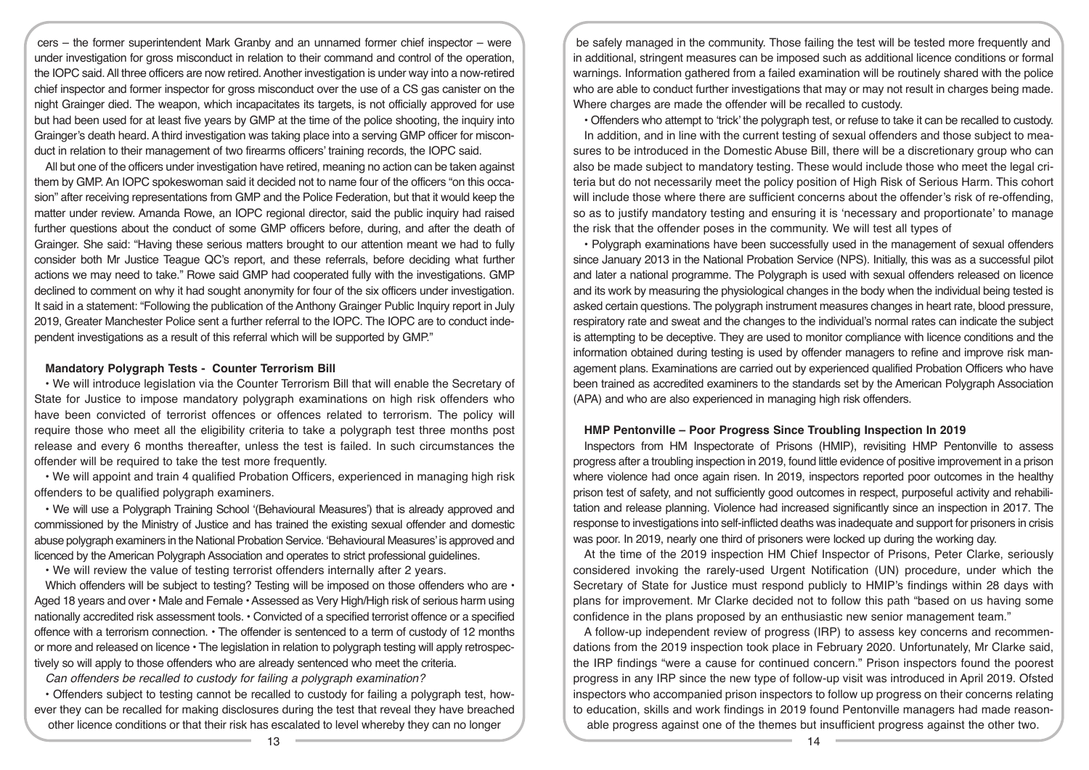cers – the former superintendent Mark Granby and an unnamed former chief inspector – were under investigation for gross misconduct in relation to their command and control of the operation, the IOPC said. All three officers are now retired. Another investigation is under way into a now-retired chief inspector and former inspector for gross misconduct over the use of a CS gas canister on the night Grainger died. The weapon, which incapacitates its targets, is not officially approved for use but had been used for at least five years by GMP at the time of the police shooting, the inquiry into Grainger's death heard. A third investigation was taking place into a serving GMP officer for misconduct in relation to their management of two firearms officers' training records, the IOPC said.

All but one of the officers under investigation have retired, meaning no action can be taken against them by GMP. An IOPC spokeswoman said it decided not to name four of the officers "on this occasion" after receiving representations from GMP and the Police Federation, but that it would keep the matter under review. Amanda Rowe, an IOPC regional director, said the public inquiry had raised further questions about the conduct of some GMP officers before, during, and after the death of Grainger. She said: "Having these serious matters brought to our attention meant we had to fully consider both Mr Justice Teague QC's report, and these referrals, before deciding what further actions we may need to take." Rowe said GMP had cooperated fully with the investigations. GMP declined to comment on why it had sought anonymity for four of the six officers under investigation. It said in a statement: "Following the publication of the Anthony Grainger Public Inquiry report in July 2019, Greater Manchester Police sent a further referral to the IOPC. The IOPC are to conduct independent investigations as a result of this referral which will be supported by GMP."

#### **Mandatory Polygraph Tests - Counter Terrorism Bill**

• We will introduce legislation via the Counter Terrorism Bill that will enable the Secretary of State for Justice to impose mandatory polygraph examinations on high risk offenders who have been convicted of terrorist offences or offences related to terrorism. The policy will require those who meet all the eligibility criteria to take a polygraph test three months post release and every 6 months thereafter, unless the test is failed. In such circumstances the offender will be required to take the test more frequently.

• We will appoint and train 4 qualified Probation Officers, experienced in managing high risk offenders to be qualified polygraph examiners.

• We will use a Polygraph Training School '(Behavioural Measures') that is already approved and commissioned by the Ministry of Justice and has trained the existing sexual offender and domestic abuse polygraph examiners in the National Probation Service. 'Behavioural Measures' is approved and licenced by the American Polygraph Association and operates to strict professional guidelines.

• We will review the value of testing terrorist offenders internally after 2 years.

Which offenders will be subject to testing? Testing will be imposed on those offenders who are • Aged 18 years and over • Male and Female • Assessed as Very High/High risk of serious harm using nationally accredited risk assessment tools. • Convicted of a specified terrorist offence or a specified offence with a terrorism connection. • The offender is sentenced to a term of custody of 12 months or more and released on licence • The legislation in relation to polygraph testing will apply retrospectively so will apply to those offenders who are already sentenced who meet the criteria.

*Can offenders be recalled to custody for failing a polygraph examination?* 

• Offenders subject to testing cannot be recalled to custody for failing a polygraph test, however they can be recalled for making disclosures during the test that reveal they have breached other licence conditions or that their risk has escalated to level whereby they can no longer

be safely managed in the community. Those failing the test will be tested more frequently and in additional, stringent measures can be imposed such as additional licence conditions or formal warnings. Information gathered from a failed examination will be routinely shared with the police who are able to conduct further investigations that may or may not result in charges being made. Where charges are made the offender will be recalled to custody.

• Offenders who attempt to 'trick' the polygraph test, or refuse to take it can be recalled to custody. In addition, and in line with the current testing of sexual offenders and those subject to measures to be introduced in the Domestic Abuse Bill, there will be a discretionary group who can also be made subject to mandatory testing. These would include those who meet the legal criteria but do not necessarily meet the policy position of High Risk of Serious Harm. This cohort will include those where there are sufficient concerns about the offender's risk of re-offending, so as to justify mandatory testing and ensuring it is 'necessary and proportionate' to manage the risk that the offender poses in the community. We will test all types of

• Polygraph examinations have been successfully used in the management of sexual offenders since January 2013 in the National Probation Service (NPS). Initially, this was as a successful pilot and later a national programme. The Polygraph is used with sexual offenders released on licence and its work by measuring the physiological changes in the body when the individual being tested is asked certain questions. The polygraph instrument measures changes in heart rate, blood pressure, respiratory rate and sweat and the changes to the individual's normal rates can indicate the subject is attempting to be deceptive. They are used to monitor compliance with licence conditions and the information obtained during testing is used by offender managers to refine and improve risk management plans. Examinations are carried out by experienced qualified Probation Officers who have been trained as accredited examiners to the standards set by the American Polygraph Association (APA) and who are also experienced in managing high risk offenders.

#### **HMP Pentonville – Poor Progress Since Troubling Inspection In 2019**

Inspectors from HM Inspectorate of Prisons (HMIP), revisiting HMP Pentonville to assess progress after a troubling inspection in 2019, found little evidence of positive improvement in a prison where violence had once again risen. In 2019, inspectors reported poor outcomes in the healthy prison test of safety, and not sufficiently good outcomes in respect, purposeful activity and rehabilitation and release planning. Violence had increased significantly since an inspection in 2017. The response to investigations into self-inflicted deaths was inadequate and support for prisoners in crisis was poor. In 2019, nearly one third of prisoners were locked up during the working day.

At the time of the 2019 inspection HM Chief Inspector of Prisons, Peter Clarke, seriously considered invoking the rarely-used Urgent Notification (UN) procedure, under which the Secretary of State for Justice must respond publicly to HMIP's findings within 28 days with plans for improvement. Mr Clarke decided not to follow this path "based on us having some confidence in the plans proposed by an enthusiastic new senior management team."

A follow-up independent review of progress (IRP) to assess key concerns and recommendations from the 2019 inspection took place in February 2020. Unfortunately, Mr Clarke said, the IRP findings "were a cause for continued concern." Prison inspectors found the poorest progress in any IRP since the new type of follow-up visit was introduced in April 2019. Ofsted inspectors who accompanied prison inspectors to follow up progress on their concerns relating to education, skills and work findings in 2019 found Pentonville managers had made reasonable progress against one of the themes but insufficient progress against the other two.